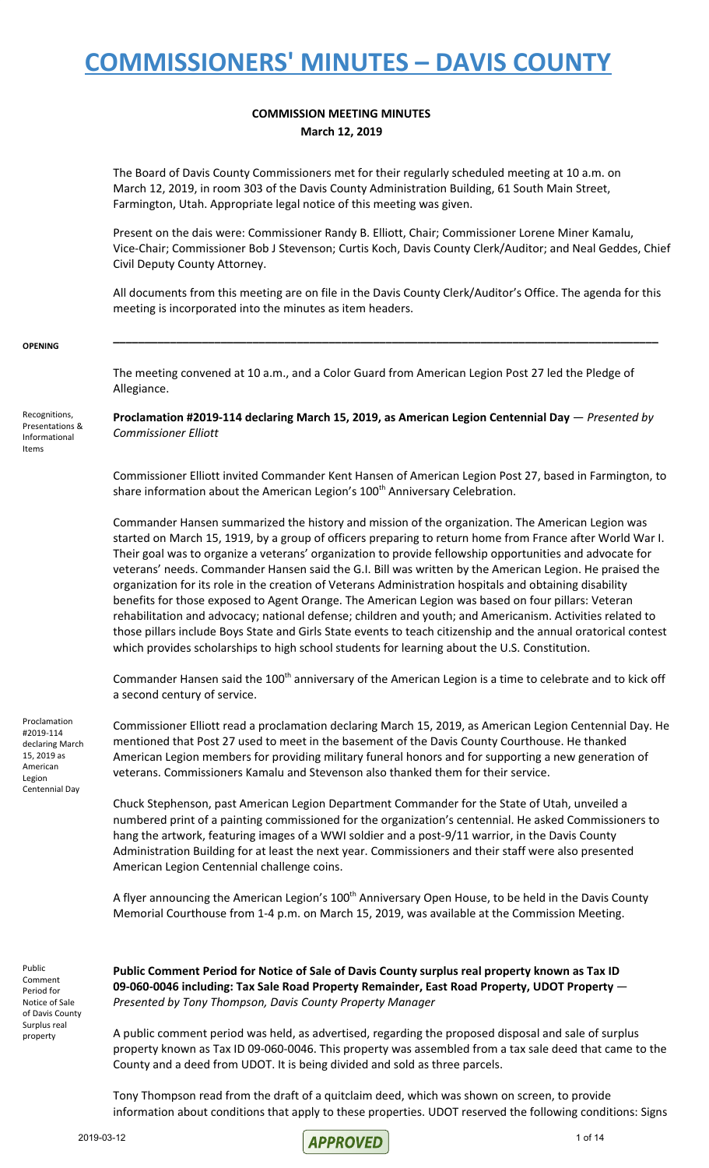#### **COMMISSION MEETING MINUTES March 12, 2019**

The Board of Davis County Commissioners met for their regularly scheduled meeting at 10 a.m. on March 12, 2019, in room 303 of the Davis County Administration Building, 61 South Main Street, Farmington, Utah. Appropriate legal notice of this meeting was given.

Present on the dais were: Commissioner Randy B. Elliott, Chair; Commissioner Lorene Miner Kamalu, Vice-Chair; Commissioner Bob J Stevenson; Curtis Koch, Davis County Clerk/Auditor; and Neal Geddes, Chief Civil Deputy County Attorney.

All documents from this meeting are on file in the Davis County Clerk/Auditor's Office. The agenda for this meeting is incorporated into the minutes as item headers.

**\_\_\_\_\_\_\_\_\_\_\_\_\_\_\_\_\_\_\_\_\_\_\_\_\_\_\_\_\_\_\_\_\_\_\_\_\_\_\_\_\_\_\_\_\_\_\_\_\_\_\_\_\_\_\_\_\_\_\_\_\_\_\_\_\_\_\_\_\_\_\_\_\_\_\_\_\_\_\_\_\_\_\_\_\_\_**

#### **OPENING**

The meeting convened at 10 a.m., and a Color Guard from American Legion Post 27 led the Pledge of Allegiance.

Recognitions, Presentations & Informational Items

**Proclamation #2019-114 declaring March 15, 2019, as American Legion Centennial Day** — *Presented by Commissioner Elliott*

Commissioner Elliott invited Commander Kent Hansen of American Legion Post 27, based in Farmington, to share information about the American Legion's 100<sup>th</sup> Anniversary Celebration.

Commander Hansen summarized the history and mission of the organization. The American Legion was started on March 15, 1919, by a group of officers preparing to return home from France after World War I. Their goal was to organize a veterans' organization to provide fellowship opportunities and advocate for veterans' needs. Commander Hansen said the G.I. Bill was written by the American Legion. He praised the organization for its role in the creation of Veterans Administration hospitals and obtaining disability benefits for those exposed to Agent Orange. The American Legion was based on four pillars: Veteran rehabilitation and advocacy; national defense; children and youth; and Americanism. Activities related to those pillars include Boys State and Girls State events to teach citizenship and the annual oratorical contest which provides scholarships to high school students for learning about the U.S. Constitution.

Commander Hansen said the 100<sup>th</sup> anniversary of the American Legion is a time to celebrate and to kick off a second century of service.

Proclamation #2019-114 declaring March 15, 2019 as American Legion Centennial Day

Commissioner Elliott read a proclamation declaring March 15, 2019, as American Legion Centennial Day. He mentioned that Post 27 used to meet in the basement of the Davis County Courthouse. He thanked American Legion members for providing military funeral honors and for supporting a new generation of veterans. Commissioners Kamalu and Stevenson also thanked them for their service.

Chuck Stephenson, past American Legion Department Commander for the State of Utah, unveiled a numbered print of a painting commissioned for the organization's centennial. He asked Commissioners to hang the artwork, featuring images of a WWI soldier and a post-9/11 warrior, in the Davis County Administration Building for at least the next year. Commissioners and their staff were also presented American Legion Centennial challenge coins.

A flyer announcing the American Legion's 100<sup>th</sup> Anniversary Open House, to be held in the Davis County Memorial Courthouse from 1-4 p.m. on March 15, 2019, was available at the Commission Meeting.

Public Comment Period for Notice of Sale of Davis County Surplus real property

**Public Comment Period for Notice of Sale of Davis County surplus real property known as Tax ID 09-060-0046 including: Tax Sale Road Property Remainder, East Road Property, UDOT Property** — *Presented by Tony Thompson, Davis County Property Manager*

A public comment period was held, as advertised, regarding the proposed disposal and sale of surplus property known as Tax ID 09-060-0046. This property was assembled from a tax sale deed that came to the County and a deed from UDOT. It is being divided and sold as three parcels.

Tony Thompson read from the draft of a quitclaim deed, which was shown on screen, to provide information about conditions that apply to these properties. UDOT reserved the following conditions: Signs

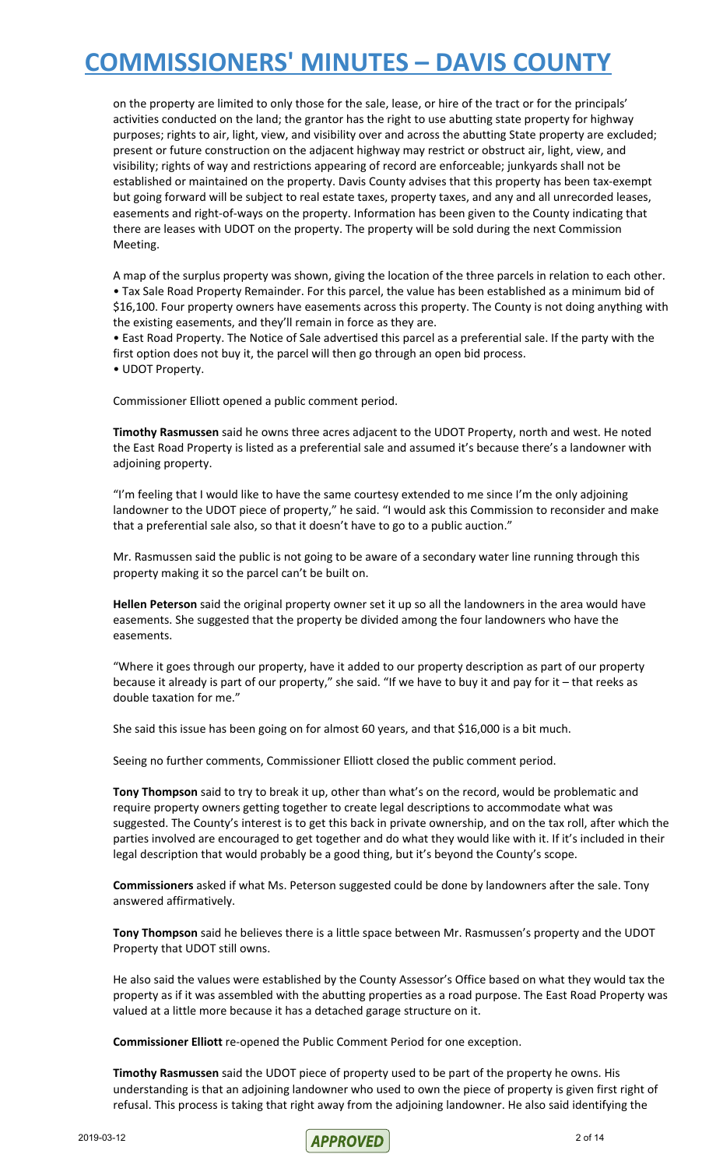on the property are limited to only those for the sale, lease, or hire of the tract or for the principals' activities conducted on the land; the grantor has the right to use abutting state property for highway purposes; rights to air, light, view, and visibility over and across the abutting State property are excluded; present or future construction on the adjacent highway may restrict or obstruct air, light, view, and visibility; rights of way and restrictions appearing of record are enforceable; junkyards shall not be established or maintained on the property. Davis County advises that this property has been tax-exempt but going forward will be subject to real estate taxes, property taxes, and any and all unrecorded leases, easements and right-of-ways on the property. Information has been given to the County indicating that there are leases with UDOT on the property. The property will be sold during the next Commission Meeting.

A map of the surplus property was shown, giving the location of the three parcels in relation to each other. • Tax Sale Road Property Remainder. For this parcel, the value has been established as a minimum bid of \$16,100. Four property owners have easements across this property. The County is not doing anything with the existing easements, and they'll remain in force as they are.

• East Road Property. The Notice of Sale advertised this parcel as a preferential sale. If the party with the first option does not buy it, the parcel will then go through an open bid process.

• UDOT Property.

Commissioner Elliott opened a public comment period.

**Timothy Rasmussen** said he owns three acres adjacent to the UDOT Property, north and west. He noted the East Road Property is listed as a preferential sale and assumed it's because there's a landowner with adjoining property.

"I'm feeling that I would like to have the same courtesy extended to me since I'm the only adjoining landowner to the UDOT piece of property," he said. "I would ask this Commission to reconsider and make that a preferential sale also, so that it doesn't have to go to a public auction."

Mr. Rasmussen said the public is not going to be aware of a secondary water line running through this property making it so the parcel can't be built on.

**Hellen Peterson** said the original property owner set it up so all the landowners in the area would have easements. She suggested that the property be divided among the four landowners who have the easements.

"Where it goes through our property, have it added to our property description as part of our property because it already is part of our property," she said. "If we have to buy it and pay for it – that reeks as double taxation for me."

She said this issue has been going on for almost 60 years, and that \$16,000 is a bit much.

Seeing no further comments, Commissioner Elliott closed the public comment period.

**Tony Thompson** said to try to break it up, other than what's on the record, would be problematic and require property owners getting together to create legal descriptions to accommodate what was suggested. The County's interest is to get this back in private ownership, and on the tax roll, after which the parties involved are encouraged to get together and do what they would like with it. If it's included in their legal description that would probably be a good thing, but it's beyond the County's scope.

**Commissioners** asked if what Ms. Peterson suggested could be done by landowners after the sale. Tony answered affirmatively.

**Tony Thompson** said he believes there is a little space between Mr. Rasmussen's property and the UDOT Property that UDOT still owns.

He also said the values were established by the County Assessor's Office based on what they would tax the property as if it was assembled with the abutting properties as a road purpose. The East Road Property was valued at a little more because it has a detached garage structure on it.

**Commissioner Elliott** re-opened the Public Comment Period for one exception.

**Timothy Rasmussen** said the UDOT piece of property used to be part of the property he owns. His understanding is that an adjoining landowner who used to own the piece of property is given first right of refusal. This process is taking that right away from the adjoining landowner. He also said identifying the

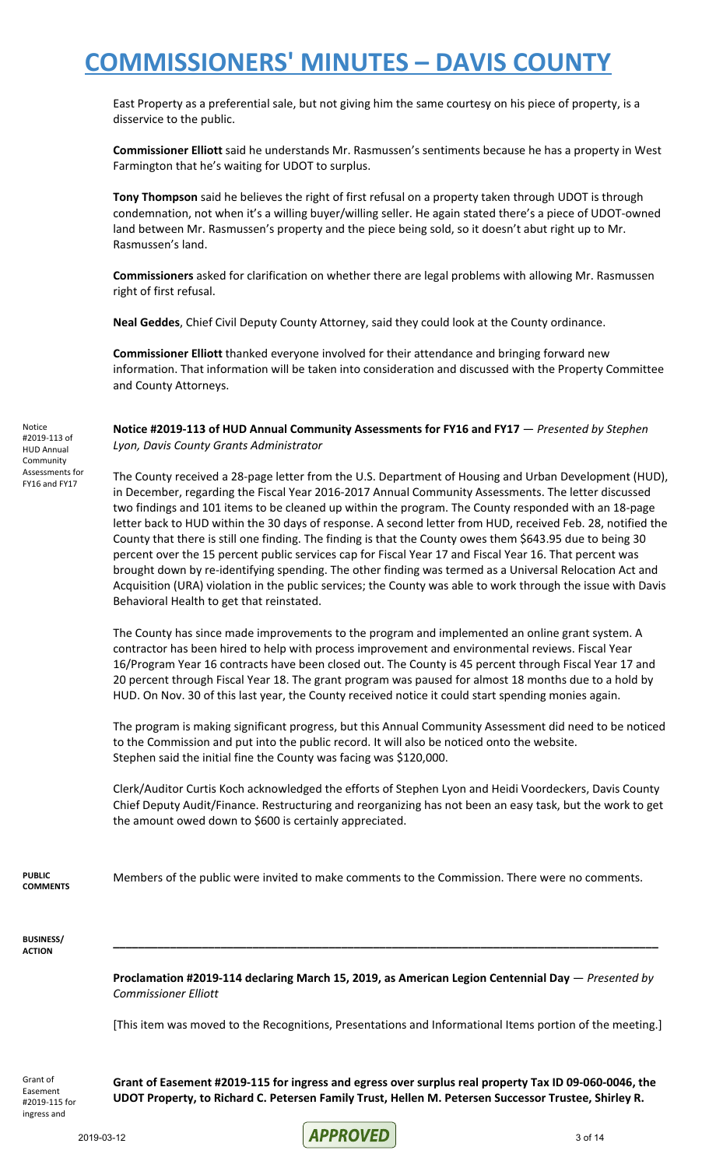East Property as a preferential sale, but not giving him the same courtesy on his piece of property, is a disservice to the public.

**Commissioner Elliott** said he understands Mr. Rasmussen's sentiments because he has a property in West Farmington that he's waiting for UDOT to surplus.

**Tony Thompson** said he believes the right of first refusal on a property taken through UDOT is through condemnation, not when it's a willing buyer/willing seller. He again stated there's a piece of UDOT-owned land between Mr. Rasmussen's property and the piece being sold, so it doesn't abut right up to Mr. Rasmussen's land.

**Commissioners** asked for clarification on whether there are legal problems with allowing Mr. Rasmussen right of first refusal.

**Neal Geddes**, Chief Civil Deputy County Attorney, said they could look at the County ordinance.

**Commissioner Elliott** thanked everyone involved for their attendance and bringing forward new information. That information will be taken into consideration and discussed with the Property Committee and County Attorneys.

**Notice #2019-113 of HUD Annual Community Assessments for FY16 and FY17** — *Presented by Stephen Lyon, Davis County Grants Administrator*

The County received a 28-page letter from the U.S. Department of Housing and Urban Development (HUD), in December, regarding the Fiscal Year 2016-2017 Annual Community Assessments. The letter discussed two findings and 101 items to be cleaned up within the program. The County responded with an 18-page letter back to HUD within the 30 days of response. A second letter from HUD, received Feb. 28, notified the County that there is still one finding. The finding is that the County owes them \$643.95 due to being 30 percent over the 15 percent public services cap for Fiscal Year 17 and Fiscal Year 16. That percent was brought down by re-identifying spending. The other finding was termed as a Universal Relocation Act and Acquisition (URA) violation in the public services; the County was able to work through the issue with Davis Behavioral Health to get that reinstated.

The County has since made improvements to the program and implemented an online grant system. A contractor has been hired to help with process improvement and environmental reviews. Fiscal Year 16/Program Year 16 contracts have been closed out. The County is 45 percent through Fiscal Year 17 and 20 percent through Fiscal Year 18. The grant program was paused for almost 18 months due to a hold by HUD. On Nov. 30 of this last year, the County received notice it could start spending monies again.

The program is making significant progress, but this Annual Community Assessment did need to be noticed to the Commission and put into the public record. It will also be noticed onto the website. Stephen said the initial fine the County was facing was \$120,000.

Clerk/Auditor Curtis Koch acknowledged the efforts of Stephen Lyon and Heidi Voordeckers, Davis County Chief Deputy Audit/Finance. Restructuring and reorganizing has not been an easy task, but the work to get the amount owed down to \$600 is certainly appreciated.

**PUBLIC COMMENTS** Members of the public were invited to make comments to the Commission. There were no comments.

**BUSINESS/ ACTION**

Notice #2019-113 of HUD Annual Community Assessments for FY16 and FY17

> **Proclamation #2019-114 declaring March 15, 2019, as American Legion Centennial Day** — *Presented by Commissioner Elliott*

> **\_\_\_\_\_\_\_\_\_\_\_\_\_\_\_\_\_\_\_\_\_\_\_\_\_\_\_\_\_\_\_\_\_\_\_\_\_\_\_\_\_\_\_\_\_\_\_\_\_\_\_\_\_\_\_\_\_\_\_\_\_\_\_\_\_\_\_\_\_\_\_\_\_\_\_\_\_\_\_\_\_\_\_\_\_\_**

[This item was moved to the Recognitions, Presentations and Informational Items portion of the meeting.]

Grant of Easement #2019-115 for ingress and

**Grant of Easement #2019-115 for ingress and egress over surplus real property Tax ID 09-060-0046, the UDOT Property, to Richard C. Petersen Family Trust, Hellen M. Petersen Successor Trustee, Shirley R.**

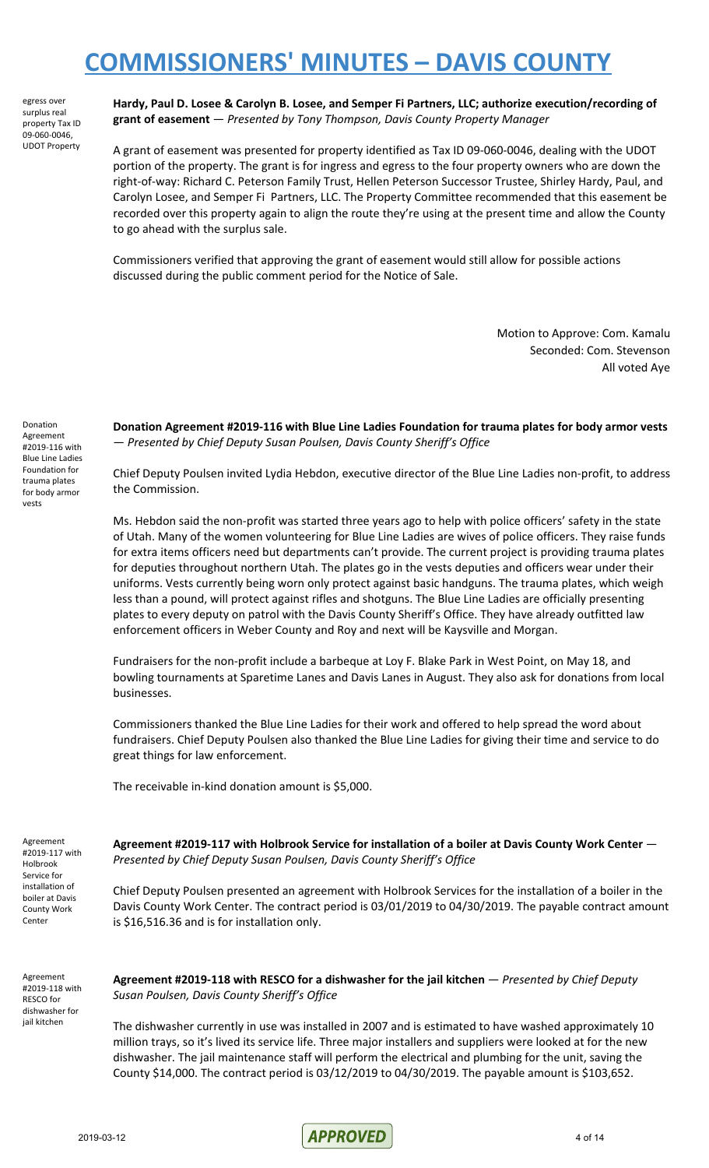egress over surplus real property Tax ID 09-060-0046, UDOT Property **Hardy, Paul D. Losee & Carolyn B. Losee, and Semper Fi Partners, LLC; authorize execution/recording of grant of easement** — *Presented by Tony Thompson, Davis County Property Manager*

A grant of easement was presented for property identified as Tax ID 09-060-0046, dealing with the UDOT portion of the property. The grant is for ingress and egress to the four property owners who are down the right-of-way: Richard C. Peterson Family Trust, Hellen Peterson Successor Trustee, Shirley Hardy, Paul, and Carolyn Losee, and Semper Fi Partners, LLC. The Property Committee recommended that this easement be recorded over this property again to align the route they're using at the present time and allow the County to go ahead with the surplus sale.

Commissioners verified that approving the grant of easement would still allow for possible actions discussed during the public comment period for the Notice of Sale.

> Motion to Approve: Com. Kamalu Seconded: Com. Stevenson All voted Aye

Donation Agreement #2019-116 with Blue Line Ladies Foundation for trauma plates for body armor vests

**Donation Agreement #2019-116 with Blue Line Ladies Foundation for trauma plates for body armor vests** — *Presented by Chief Deputy Susan Poulsen, Davis County Sheriff's Office*

Chief Deputy Poulsen invited Lydia Hebdon, executive director of the Blue Line Ladies non-profit, to address the Commission.

Ms. Hebdon said the non-profit was started three years ago to help with police officers' safety in the state of Utah. Many of the women volunteering for Blue Line Ladies are wives of police officers. They raise funds for extra items officers need but departments can't provide. The current project is providing trauma plates for deputies throughout northern Utah. The plates go in the vests deputies and officers wear under their uniforms. Vests currently being worn only protect against basic handguns. The trauma plates, which weigh less than a pound, will protect against rifles and shotguns. The Blue Line Ladies are officially presenting plates to every deputy on patrol with the Davis County Sheriff's Office. They have already outfitted law enforcement officers in Weber County and Roy and next will be Kaysville and Morgan.

Fundraisers for the non-profit include a barbeque at Loy F. Blake Park in West Point, on May 18, and bowling tournaments at Sparetime Lanes and Davis Lanes in August. They also ask for donations from local businesses.

Commissioners thanked the Blue Line Ladies for their work and offered to help spread the word about fundraisers. Chief Deputy Poulsen also thanked the Blue Line Ladies for giving their time and service to do great things for law enforcement.

The receivable in-kind donation amount is \$5,000.

Agreement #2019-117 with Holbrook Service for installation of boiler at Davis County Work Center

**Agreement #2019-117 with Holbrook Service for installation of a boiler at Davis County Work Center** — *Presented by Chief Deputy Susan Poulsen, Davis County Sheriff's Office*

Chief Deputy Poulsen presented an agreement with Holbrook Services for the installation of a boiler in the Davis County Work Center. The contract period is 03/01/2019 to 04/30/2019. The payable contract amount is \$16,516.36 and is for installation only.

Agreement #2019-118 with RESCO for dishwasher for iail kitchen

**Agreement #2019-118 with RESCO for a dishwasher for the jail kitchen** — *Presented by Chief Deputy Susan Poulsen, Davis County Sheriff's Office*

The dishwasher currently in use was installed in 2007 and is estimated to have washed approximately 10 million trays, so it's lived its service life. Three major installers and suppliers were looked at for the new dishwasher. The jail maintenance staff will perform the electrical and plumbing for the unit, saving the County \$14,000. The contract period is 03/12/2019 to 04/30/2019. The payable amount is \$103,652.

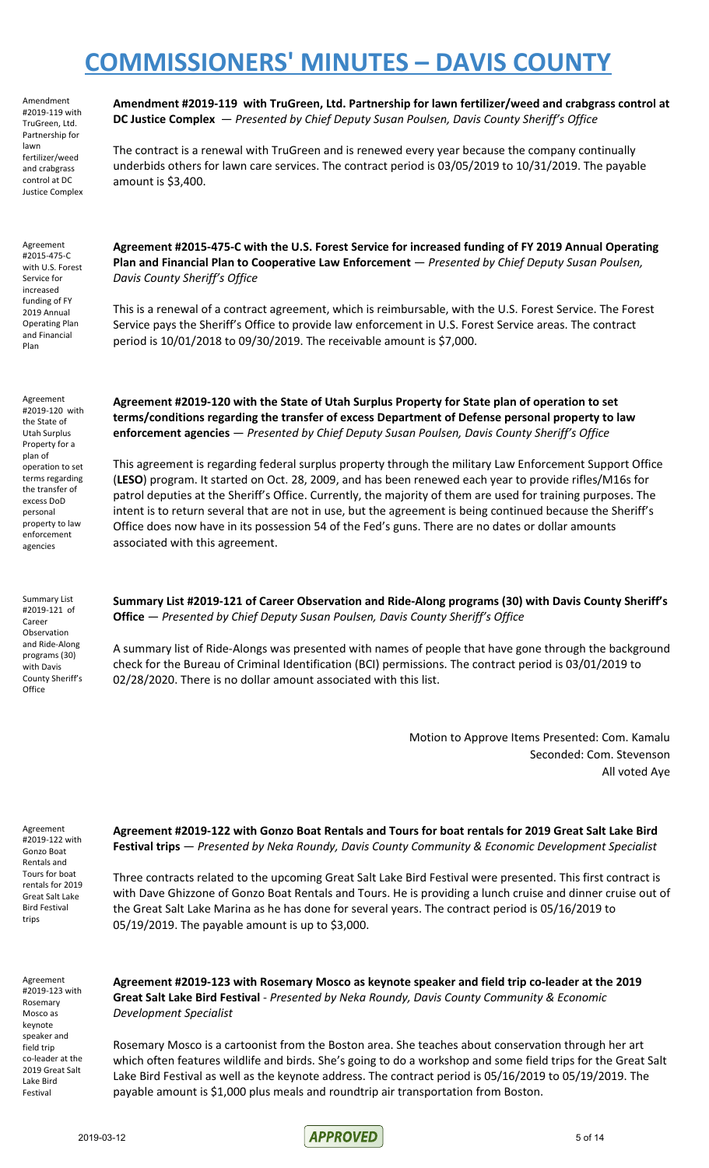Amendment #2019-119 with TruGreen, Ltd. Partnership for lawn fertilizer/weed and crabgrass control at DC Justice Complex

**Amendment #2019-119 with TruGreen, Ltd. Partnership for lawn fertilizer/weed and crabgrass control at DC Justice Complex** — *Presented by Chief Deputy Susan Poulsen, Davis County Sheriff's Office*

The contract is a renewal with TruGreen and is renewed every year because the company continually underbids others for lawn care services. The contract period is 03/05/2019 to 10/31/2019. The payable amount is \$3,400.

Agreement #2015-475-C with U.S. Forest Service for increased funding of FY 2019 Annual Operating Plan and Financial Plan

**Agreement #2015-475-C with the U.S. Forest Service for increased funding of FY 2019 Annual Operating Plan and Financial Plan to Cooperative Law Enforcement** — *Presented by Chief Deputy Susan Poulsen, Davis County Sheriff's Office*

This is a renewal of a contract agreement, which is reimbursable, with the U.S. Forest Service. The Forest Service pays the Sheriff's Office to provide law enforcement in U.S. Forest Service areas. The contract period is 10/01/2018 to 09/30/2019. The receivable amount is \$7,000.

Agreement #2019-120 with the State of Utah Surplus Property for a plan of operation to set terms regarding the transfer of excess DoD personal property to law enforcement agencies

**Agreement #2019-120 with the State of Utah Surplus Property for State plan of operation to set terms/conditions regarding the transfer of excess Department of Defense personal property to law enforcement agencies** — *Presented by Chief Deputy Susan Poulsen, Davis County Sheriff's Office*

This agreement is regarding federal surplus property through the military Law Enforcement Support Office (**LESO**) program. It started on Oct. 28, 2009, and has been renewed each year to provide rifles/M16s for patrol deputies at the Sheriff's Office. Currently, the majority of them are used for training purposes. The intent is to return several that are not in use, but the agreement is being continued because the Sheriff's Office does now have in its possession 54 of the Fed's guns. There are no dates or dollar amounts associated with this agreement.

Summary List #2019-121 of Career Observation and Ride-Along programs (30) with Davis County Sheriff's **Office** 

**Summary List #2019-121 of Career Observation and Ride-Along programs (30) with Davis County Sheriff's Office** — *Presented by Chief Deputy Susan Poulsen, Davis County Sheriff's Office*

A summary list of Ride-Alongs was presented with names of people that have gone through the background check for the Bureau of Criminal Identification (BCI) permissions. The contract period is 03/01/2019 to 02/28/2020. There is no dollar amount associated with this list.

> Motion to Approve Items Presented: Com. Kamalu Seconded: Com. Stevenson All voted Aye

Agreement #2019-122 with Gonzo Boat Rentals and Tours for boat rentals for 2019 Great Salt Lake Bird Festival trips

**Agreement #2019-122 with Gonzo Boat Rentals and Tours for boat rentals for 2019 Great Salt Lake Bird Festival trips** — *Presented by Neka Roundy, Davis County Community & Economic Development Specialist*

Three contracts related to the upcoming Great Salt Lake Bird Festival were presented. This first contract is with Dave Ghizzone of Gonzo Boat Rentals and Tours. He is providing a lunch cruise and dinner cruise out of the Great Salt Lake Marina as he has done for several years. The contract period is 05/16/2019 to 05/19/2019. The payable amount is up to \$3,000.

Agreement #2019-123 with Rosemary Mosco as keynote speaker and field trip co-leader at the 2019 Great Salt Lake Bird Festival

**Agreement #2019-123 with Rosemary Mosco as keynote speaker and field trip co-leader at the 2019 Great Salt Lake Bird Festival** - *Presented by Neka Roundy, Davis County Community & Economic Development Specialist*

Rosemary Mosco is a cartoonist from the Boston area. She teaches about conservation through her art which often features wildlife and birds. She's going to do a workshop and some field trips for the Great Salt Lake Bird Festival as well as the keynote address. The contract period is 05/16/2019 to 05/19/2019. The payable amount is \$1,000 plus meals and roundtrip air transportation from Boston.

2019-03-12 5 of 14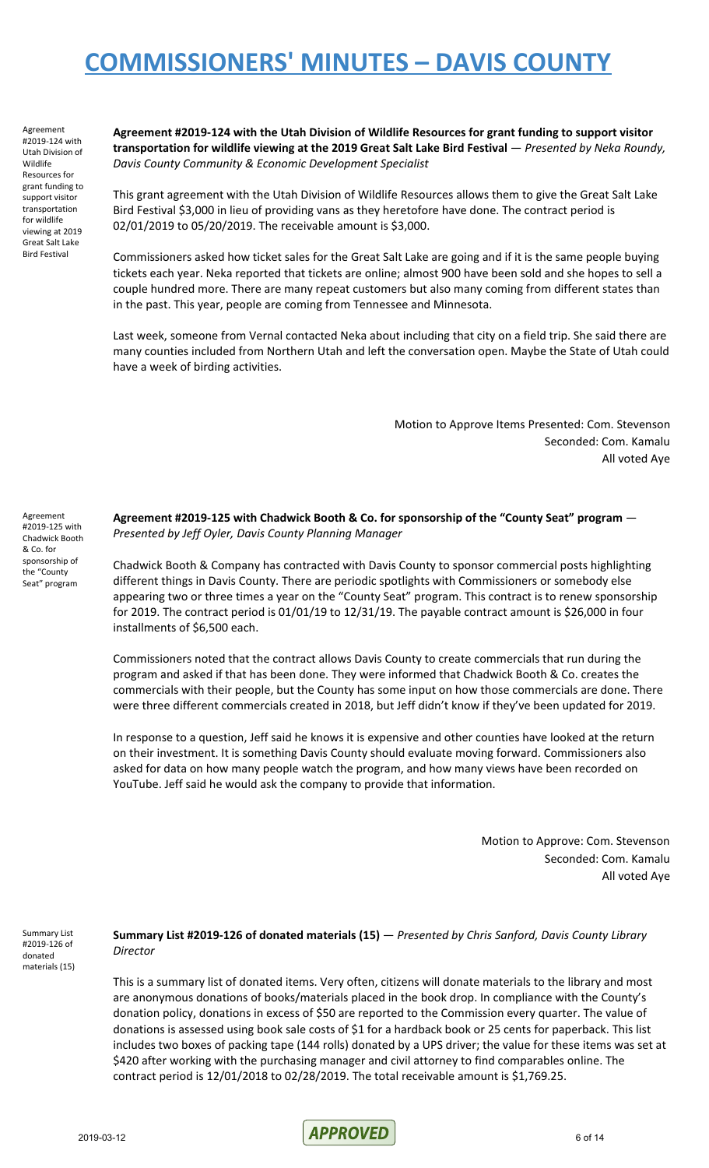Agreement #2019-124 with Utah Division of Wildlife Resources for grant funding to support visitor transportation for wildlife viewing at 2019 Great Salt Lake Bird Festival

Agreement #2019-125 with Chadwick Booth & Co. for sponsorship of the "County Seat" program

**Agreement #2019-124 with the Utah Division of Wildlife Resources for grant funding to support visitor transportation for wildlife viewing at the 2019 Great Salt Lake Bird Festival** — *Presented by Neka Roundy, Davis County Community & Economic Development Specialist*

This grant agreement with the Utah Division of Wildlife Resources allows them to give the Great Salt Lake Bird Festival \$3,000 in lieu of providing vans as they heretofore have done. The contract period is 02/01/2019 to 05/20/2019. The receivable amount is \$3,000.

Commissioners asked how ticket sales for the Great Salt Lake are going and if it is the same people buying tickets each year. Neka reported that tickets are online; almost 900 have been sold and she hopes to sell a couple hundred more. There are many repeat customers but also many coming from different states than in the past. This year, people are coming from Tennessee and Minnesota.

Last week, someone from Vernal contacted Neka about including that city on a field trip. She said there are many counties included from Northern Utah and left the conversation open. Maybe the State of Utah could have a week of birding activities.

> Motion to Approve Items Presented: Com. Stevenson Seconded: Com. Kamalu All voted Aye

**Agreement #2019-125 with Chadwick Booth & Co. for sponsorship of the "County Seat" program** — *Presented by Jeff Oyler, Davis County Planning Manager*

Chadwick Booth & Company has contracted with Davis County to sponsor commercial posts highlighting different things in Davis County. There are periodic spotlights with Commissioners or somebody else appearing two or three times a year on the "County Seat" program. This contract is to renew sponsorship for 2019. The contract period is 01/01/19 to 12/31/19. The payable contract amount is \$26,000 in four installments of \$6,500 each.

Commissioners noted that the contract allows Davis County to create commercials that run during the program and asked if that has been done. They were informed that Chadwick Booth & Co. creates the commercials with their people, but the County has some input on how those commercials are done. There were three different commercials created in 2018, but Jeff didn't know if they've been updated for 2019.

In response to a question, Jeff said he knows it is expensive and other counties have looked at the return on their investment. It is something Davis County should evaluate moving forward. Commissioners also asked for data on how many people watch the program, and how many views have been recorded on YouTube. Jeff said he would ask the company to provide that information.

> Motion to Approve: Com. Stevenson Seconded: Com. Kamalu All voted Aye

Summary List #2019-126 of donated materials (15) **Summary List #2019-126 of donated materials (15)** — *Presented by Chris Sanford, Davis County Library Director*

This is a summary list of donated items. Very often, citizens will donate materials to the library and most are anonymous donations of books/materials placed in the book drop. In compliance with the County's donation policy, donations in excess of \$50 are reported to the Commission every quarter. The value of donations is assessed using book sale costs of \$1 for a hardback book or 25 cents for paperback. This list includes two boxes of packing tape (144 rolls) donated by a UPS driver; the value for these items was set at \$420 after working with the purchasing manager and civil attorney to find comparables online. The contract period is 12/01/2018 to 02/28/2019. The total receivable amount is \$1,769.25.

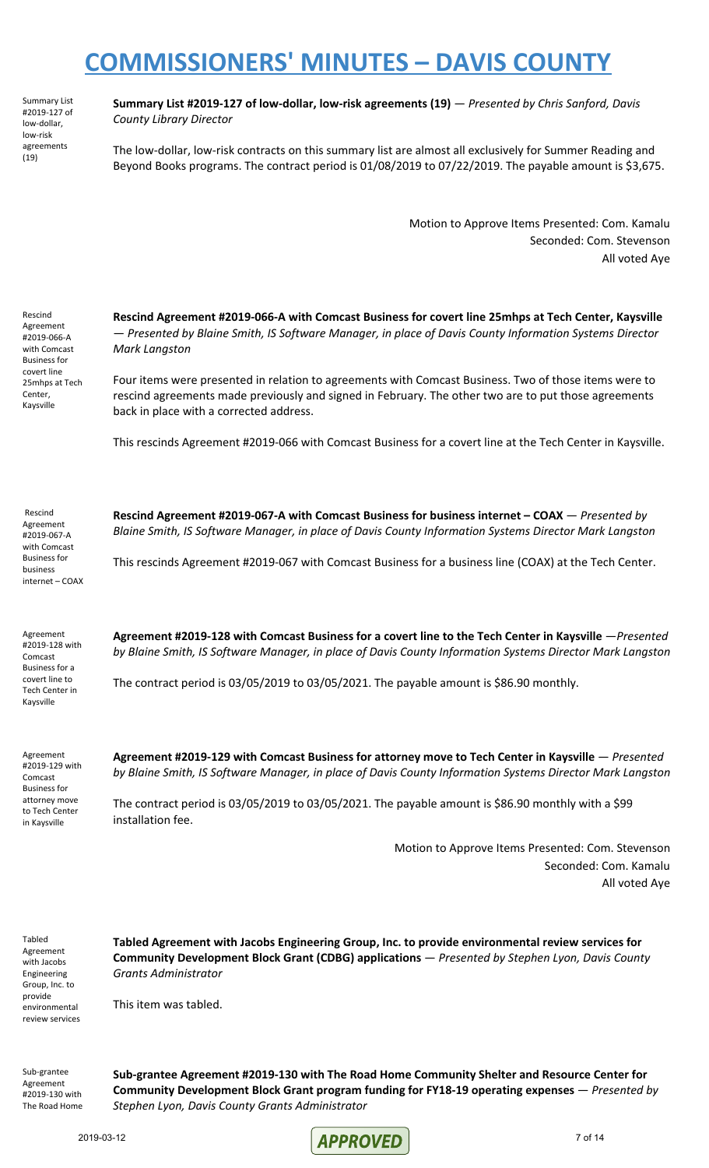Summary List #2019-127 of low-dollar, low-risk agreements (19)

**Summary List #2019-127 of low-dollar, low-risk agreements (19)** — *Presented by Chris Sanford, Davis County Library Director*

The low-dollar, low-risk contracts on this summary list are almost all exclusively for Summer Reading and Beyond Books programs. The contract period is 01/08/2019 to 07/22/2019. The payable amount is \$3,675.

> Motion to Approve Items Presented: Com. Kamalu Seconded: Com. Stevenson All voted Aye

Rescind Agreement #2019-066-A with Comcast Business for covert line 25mhps at Tech Center, Kaysville

**Rescind Agreement #2019-066-A with Comcast Business for covert line 25mhps at Tech Center, Kaysville** — *Presented by Blaine Smith, IS Software Manager, in place of Davis County Information Systems Director Mark Langston*

Four items were presented in relation to agreements with Comcast Business. Two of those items were to rescind agreements made previously and signed in February. The other two are to put those agreements back in place with a corrected address.

This rescinds Agreement #2019-066 with Comcast Business for a covert line at the Tech Center in Kaysville.

Rescind Agreement #2019-067-A with Comcast Business for business internet – COAX **Rescind Agreement #2019-067-A with Comcast Business for business internet – COAX** — *Presented by Blaine Smith, IS Software Manager, in place of Davis County Information Systems Director Mark Langston*

This rescinds Agreement #2019-067 with Comcast Business for a business line (COAX) at the Tech Center.

Agreement #2019-128 with Comcast Business for a covert line to Tech Center in Kaysville

**Agreement #2019-128 with Comcast Business for a covert line to the Tech Center in Kaysville** —*Presented by Blaine Smith, IS Software Manager, in place of Davis County Information Systems Director Mark Langston*

The contract period is 03/05/2019 to 03/05/2021. The payable amount is \$86.90 monthly.

Agreement #2019-129 with Comcast Business for attorney move to Tech Center in Kaysville

**Agreement #2019-129 with Comcast Business for attorney move to Tech Center in Kaysville** — *Presented by Blaine Smith, IS Software Manager, in place of Davis County Information Systems Director Mark Langston*

The contract period is 03/05/2019 to 03/05/2021. The payable amount is \$86.90 monthly with a \$99 installation fee.

> Motion to Approve Items Presented: Com. Stevenson Seconded: Com. Kamalu All voted Aye

Tabled Agreement with Jacobs Engineering Group, Inc. to provide environmental review services **Tabled Agreement with Jacobs Engineering Group, Inc. to provide environmental review services for Community Development Block Grant (CDBG) applications** — *Presented by Stephen Lyon, Davis County Grants Administrator*

This item was tabled.

Sub-grantee Agreement #2019-130 with The Road Home **Sub-grantee Agreement #2019-130 with The Road Home Community Shelter and Resource Center for Community Development Block Grant program funding for FY18-19 operating expenses** — *Presented by Stephen Lyon, Davis County Grants Administrator*

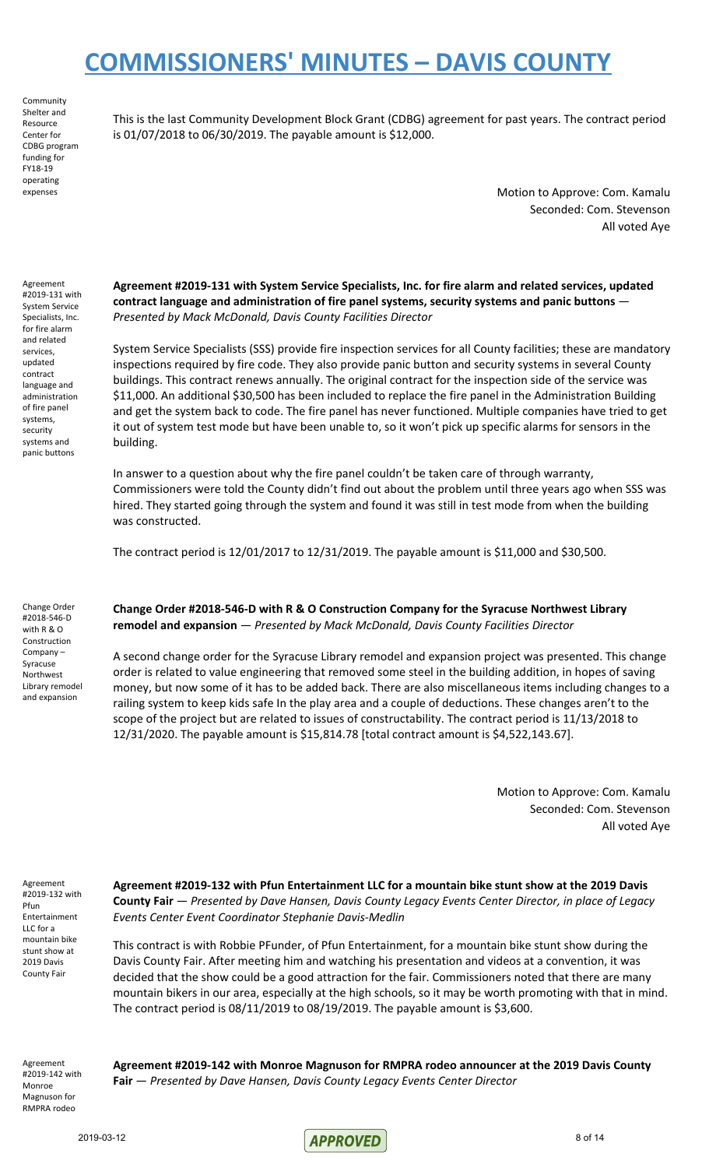Community Shelter and Resource Center for CDBG program funding for FY18-19 operating expenses

This is the last Community Development Block Grant (CDBG) agreement for past years. The contract period is 01/07/2018 to 06/30/2019. The payable amount is \$12,000.

> Motion to Approve: Com. Kamalu Seconded: Com. Stevenson All voted Aye

Agreement #2019-131 with System Service Specialists, Inc. for fire alarm and related services, updated contract language and administration of fire panel systems, security systems and panic buttons

**Agreement #2019-131 with System Service Specialists, Inc. for fire alarm and related services, updated contract language and administration of fire panel systems, security systems and panic buttons** — *Presented by Mack McDonald, Davis County Facilities Director*

System Service Specialists (SSS) provide fire inspection services for all County facilities; these are mandatory inspections required by fire code. They also provide panic button and security systems in several County buildings. This contract renews annually. The original contract for the inspection side of the service was \$11,000. An additional \$30,500 has been included to replace the fire panel in the Administration Building and get the system back to code. The fire panel has never functioned. Multiple companies have tried to get it out of system test mode but have been unable to, so it won't pick up specific alarms for sensors in the building.

In answer to a question about why the fire panel couldn't be taken care of through warranty, Commissioners were told the County didn't find out about the problem until three years ago when SSS was hired. They started going through the system and found it was still in test mode from when the building was constructed.

The contract period is 12/01/2017 to 12/31/2019. The payable amount is \$11,000 and \$30,500.

Change Order #2018-546-D with R & O Construction Company – Syracuse Northwest Library remodel and expansion

**Change Order #2018-546-D with R & O Construction Company for the Syracuse Northwest Library remodel and expansion** — *Presented by Mack McDonald, Davis County Facilities Director*

A second change order for the Syracuse Library remodel and expansion project was presented. This change order is related to value engineering that removed some steel in the building addition, in hopes of saving money, but now some of it has to be added back. There are also miscellaneous items including changes to a railing system to keep kids safe In the play area and a couple of deductions. These changes aren't to the scope of the project but are related to issues of constructability. The contract period is 11/13/2018 to 12/31/2020. The payable amount is \$15,814.78 [total contract amount is \$4,522,143.67].

> Motion to Approve: Com. Kamalu Seconded: Com. Stevenson All voted Aye

Agreement #2019-132 with Pfun Entertainment LLC for a mountain bike stunt show at 2019 Davis County Fair

**Agreement #2019-132 with Pfun Entertainment LLC for a mountain bike stunt show at the 2019 Davis County Fair** — *Presented by Dave Hansen, Davis County Legacy Events Center Director, in place of Legacy Events Center Event Coordinator Stephanie Davis-Medlin*

This contract is with Robbie PFunder, of Pfun Entertainment, for a mountain bike stunt show during the Davis County Fair. After meeting him and watching his presentation and videos at a convention, it was decided that the show could be a good attraction for the fair. Commissioners noted that there are many mountain bikers in our area, especially at the high schools, so it may be worth promoting with that in mind. The contract period is 08/11/2019 to 08/19/2019. The payable amount is \$3,600.

Agreement #2019-142 with Monroe Magnuson for RMPRA rodeo

**Agreement #2019-142 with Monroe Magnuson for RMPRA rodeo announcer at the 2019 Davis County Fair** — *Presented by Dave Hansen, Davis County Legacy Events Center Director*

 $\sqrt{APPROVED}$  8 of 14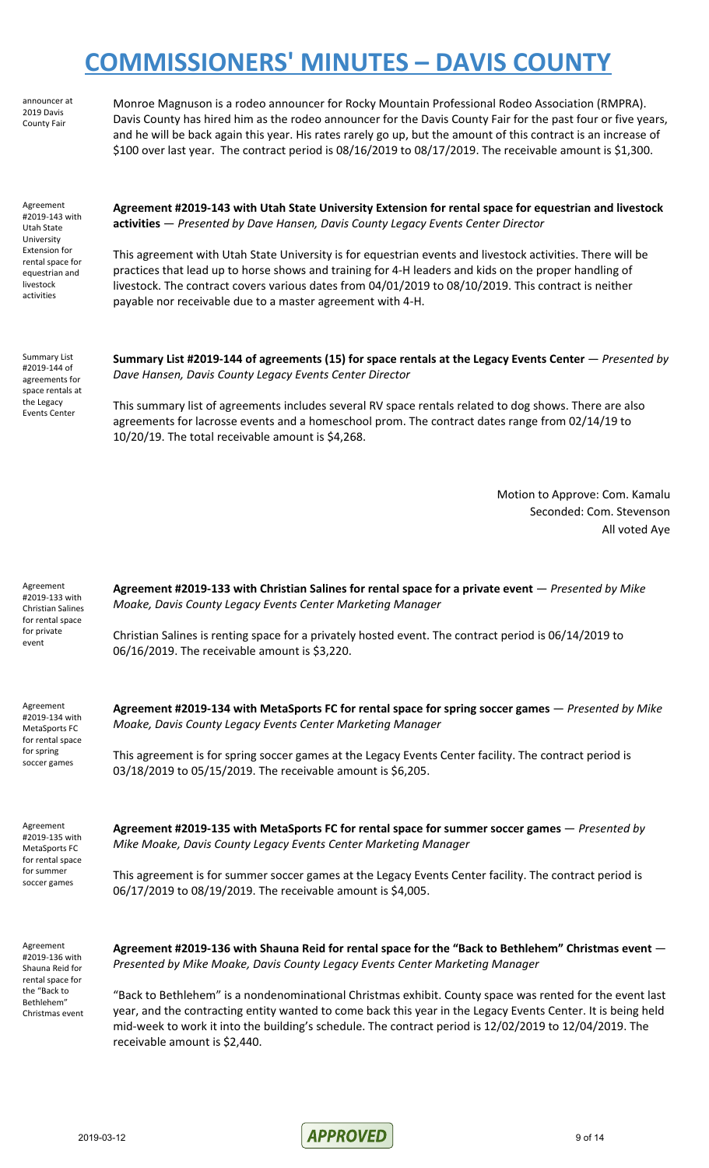announcer at 2019 Davis County Fair

Monroe Magnuson is a rodeo announcer for Rocky Mountain Professional Rodeo Association (RMPRA). Davis County has hired him as the rodeo announcer for the Davis County Fair for the past four or five years, and he will be back again this year. His rates rarely go up, but the amount of this contract is an increase of \$100 over last year. The contract period is 08/16/2019 to 08/17/2019. The receivable amount is \$1,300.

Agreement #2019-143 with Utah State University Extension for rental space for equestrian and livestock activities

**Agreement #2019-143 with Utah State University Extension for rental space for equestrian and livestock activities** — *Presented by Dave Hansen, Davis County Legacy Events Center Director*

This agreement with Utah State University is for equestrian events and livestock activities. There will be practices that lead up to horse shows and training for 4-H leaders and kids on the proper handling of livestock. The contract covers various dates from 04/01/2019 to 08/10/2019. This contract is neither payable nor receivable due to a master agreement with 4-H.

Summary List #2019-144 of agreements for space rentals at the Legacy Events Center

**Summary List #2019-144 of agreements (15) for space rentals at the Legacy Events Center** — *Presented by Dave Hansen, Davis County Legacy Events Center Director*

This summary list of agreements includes several RV space rentals related to dog shows. There are also agreements for lacrosse events and a homeschool prom. The contract dates range from 02/14/19 to 10/20/19. The total receivable amount is \$4,268.

> Motion to Approve: Com. Kamalu Seconded: Com. Stevenson All voted Aye

**Agreement #2019-133 with Christian Salines for rental space for a private event** — *Presented by Mike Moake, Davis County Legacy Events Center Marketing Manager*

Christian Salines is renting space for a privately hosted event. The contract period is 06/14/2019 to 06/16/2019. The receivable amount is \$3,220.

*Moake, Davis County Legacy Events Center Marketing Manager*

Agreement #2019-134 with MetaSports FC for rental space for spring soccer games

Agreement #2019-133 with Christian Salines for rental space for private event

Agreement #2019-135 with MetaSports FC for rental space for summer

soccer games

This agreement is for spring soccer games at the Legacy Events Center facility. The contract period is 03/18/2019 to 05/15/2019. The receivable amount is \$6,205.

**Agreement #2019-134 with MetaSports FC for rental space for spring soccer games** — *Presented by Mike*

**Agreement #2019-135 with MetaSports FC for rental space for summer soccer games** — *Presented by Mike Moake, Davis County Legacy Events Center Marketing Manager*

This agreement is for summer soccer games at the Legacy Events Center facility. The contract period is 06/17/2019 to 08/19/2019. The receivable amount is \$4,005.

Agreement #2019-136 with Shauna Reid for rental space for the "Back to Bethlehem" Christmas event **Agreement #2019-136 with Shauna Reid for rental space for the "Back to Bethlehem" Christmas event** — *Presented by Mike Moake, Davis County Legacy Events Center Marketing Manager*

"Back to Bethlehem" is a nondenominational Christmas exhibit. County space was rented for the event last year, and the contracting entity wanted to come back this year in the Legacy Events Center. It is being held mid-week to work it into the building's schedule. The contract period is 12/02/2019 to 12/04/2019. The receivable amount is \$2,440.

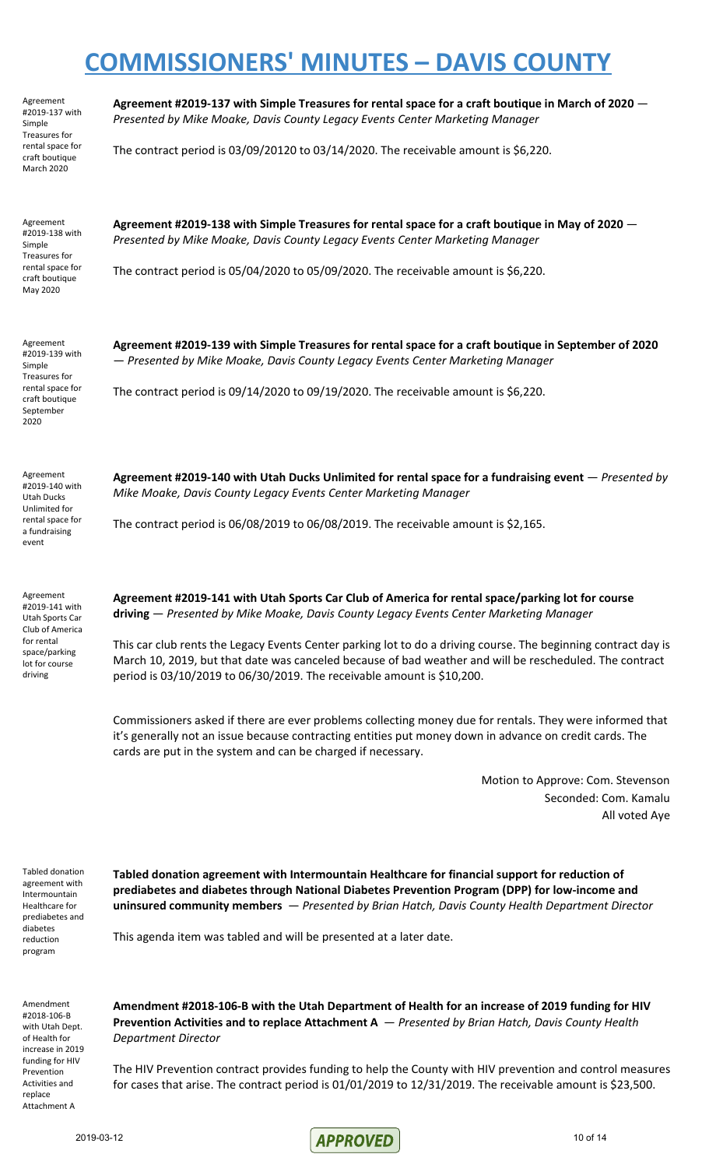Agreement #2019-137 with Simple Treasures for rental space for craft boutique March 2020

**Agreement #2019-137 with Simple Treasures for rental space for a craft boutique in March of 2020** — *Presented by Mike Moake, Davis County Legacy Events Center Marketing Manager*

The contract period is 03/09/20120 to 03/14/2020. The receivable amount is \$6,220.

Agreement #2019-138 with Simple Treasures for rental space for craft boutique May 2020

**Agreement #2019-138 with Simple Treasures for rental space for a craft boutique in May of 2020** — *Presented by Mike Moake, Davis County Legacy Events Center Marketing Manager*

The contract period is 05/04/2020 to 05/09/2020. The receivable amount is \$6,220.

Agreement #2019-139 with Simple Treasures for rental space for craft boutique September 2020

**Agreement #2019-139 with Simple Treasures for rental space for a craft boutique in September of 2020** — *Presented by Mike Moake, Davis County Legacy Events Center Marketing Manager*

The contract period is 09/14/2020 to 09/19/2020. The receivable amount is \$6,220.

Agreement #2019-140 with Utah Ducks Unlimited for rental space for a fundraising event

Agreement #2019-141 with Utah Sports Car Club of America for rental space/parking lot for course driving

**Agreement #2019-140 with Utah Ducks Unlimited for rental space for a fundraising event** — *Presented by Mike Moake, Davis County Legacy Events Center Marketing Manager*

The contract period is 06/08/2019 to 06/08/2019. The receivable amount is \$2,165.

**Agreement #2019-141 with Utah Sports Car Club of America for rental space/parking lot for course driving** — *Presented by Mike Moake, Davis County Legacy Events Center Marketing Manager*

This car club rents the Legacy Events Center parking lot to do a driving course. The beginning contract day is March 10, 2019, but that date was canceled because of bad weather and will be rescheduled. The contract period is 03/10/2019 to 06/30/2019. The receivable amount is \$10,200.

Commissioners asked if there are ever problems collecting money due for rentals. They were informed that it's generally not an issue because contracting entities put money down in advance on credit cards. The cards are put in the system and can be charged if necessary.

> Motion to Approve: Com. Stevenson Seconded: Com. Kamalu All voted Aye

Tabled donation agreement with Intermountain Healthcare for prediabetes and diabetes reduction program

**Tabled donation agreement with Intermountain Healthcare for financial support for reduction of prediabetes and diabetes through National Diabetes Prevention Program (DPP) for low-income and uninsured community members** — *Presented by Brian Hatch, Davis County Health Department Director*

This agenda item was tabled and will be presented at a later date.

Amendment #2018-106-B with Utah Dept. of Health for increase in 2019 funding for HIV Prevention Activities and replace Attachment A

**Amendment #2018-106-B with the Utah Department of Health for an increase of 2019 funding for HIV Prevention Activities and to replace Attachment A** — *Presented by Brian Hatch, Davis County Health Department Director*

The HIV Prevention contract provides funding to help the County with HIV prevention and control measures for cases that arise. The contract period is 01/01/2019 to 12/31/2019. The receivable amount is \$23,500.

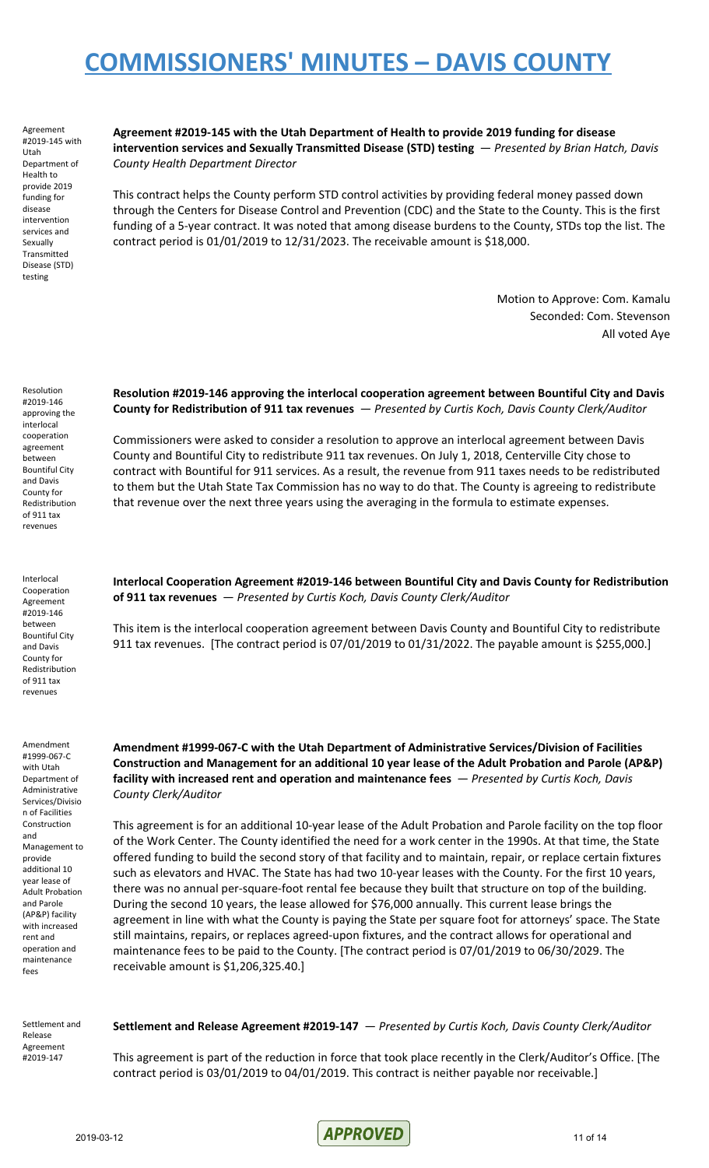Agreement #2019-145 with Utah Department of Health to provide 2019 funding for disease intervention services and Sexually Transmitted Disease (STD) testing

**Agreement #2019-145 with the Utah Department of Health to provide 2019 funding for disease intervention services and Sexually Transmitted Disease (STD) testing** — *Presented by Brian Hatch, Davis County Health Department Director*

This contract helps the County perform STD control activities by providing federal money passed down through the Centers for Disease Control and Prevention (CDC) and the State to the County. This is the first funding of a 5-year contract. It was noted that among disease burdens to the County, STDs top the list. The contract period is 01/01/2019 to 12/31/2023. The receivable amount is \$18,000.

> Motion to Approve: Com. Kamalu Seconded: Com. Stevenson All voted Aye

Resolution #2019-146 approving the interlocal cooperation agreement between Bountiful City and Davis County for Redistribution of 911 tax revenues

**Resolution #2019-146 approving the interlocal cooperation agreement between Bountiful City and Davis County for Redistribution of 911 tax revenues** — *Presented by Curtis Koch, Davis County Clerk/Auditor*

Commissioners were asked to consider a resolution to approve an interlocal agreement between Davis County and Bountiful City to redistribute 911 tax revenues. On July 1, 2018, Centerville City chose to contract with Bountiful for 911 services. As a result, the revenue from 911 taxes needs to be redistributed to them but the Utah State Tax Commission has no way to do that. The County is agreeing to redistribute that revenue over the next three years using the averaging in the formula to estimate expenses.

Interlocal Cooperation Agreement #2019-146 between Bountiful City and Davis County for Redistribution of 911 tax revenues

Amendment #1999-067-C with Utah Department of Administrative Services/Divisio n of Facilities Construction and Management to provide additional 10 year lease of Adult Probation and Parole (AP&P) facility with increased rent and operation and maintenance fees

**Interlocal Cooperation Agreement #2019-146 between Bountiful City and Davis County for Redistribution of 911 tax revenues** — *Presented by Curtis Koch, Davis County Clerk/Auditor*

This item is the interlocal cooperation agreement between Davis County and Bountiful City to redistribute 911 tax revenues. [The contract period is 07/01/2019 to 01/31/2022. The payable amount is \$255,000.]

**Amendment #1999-067-C with the Utah Department of Administrative Services/Division of Facilities Construction and Management for an additional 10 year lease of the Adult Probation and Parole (AP&P) facility with increased rent and operation and maintenance fees** — *Presented by Curtis Koch, Davis County Clerk/Auditor*

This agreement is for an additional 10-year lease of the Adult Probation and Parole facility on the top floor of the Work Center. The County identified the need for a work center in the 1990s. At that time, the State offered funding to build the second story of that facility and to maintain, repair, or replace certain fixtures such as elevators and HVAC. The State has had two 10-year leases with the County. For the first 10 years, there was no annual per-square-foot rental fee because they built that structure on top of the building. During the second 10 years, the lease allowed for \$76,000 annually. This current lease brings the agreement in line with what the County is paying the State per square foot for attorneys' space. The State still maintains, repairs, or replaces agreed-upon fixtures, and the contract allows for operational and maintenance fees to be paid to the County. [The contract period is 07/01/2019 to 06/30/2029. The receivable amount is \$1,206,325.40.]

Settlement and Release Agreement #2019-147

#### **Settlement and Release Agreement #2019-147** — *Presented by Curtis Koch, Davis County Clerk/Auditor*

This agreement is part of the reduction in force that took place recently in the Clerk/Auditor's Office. [The contract period is 03/01/2019 to 04/01/2019. This contract is neither payable nor receivable.]

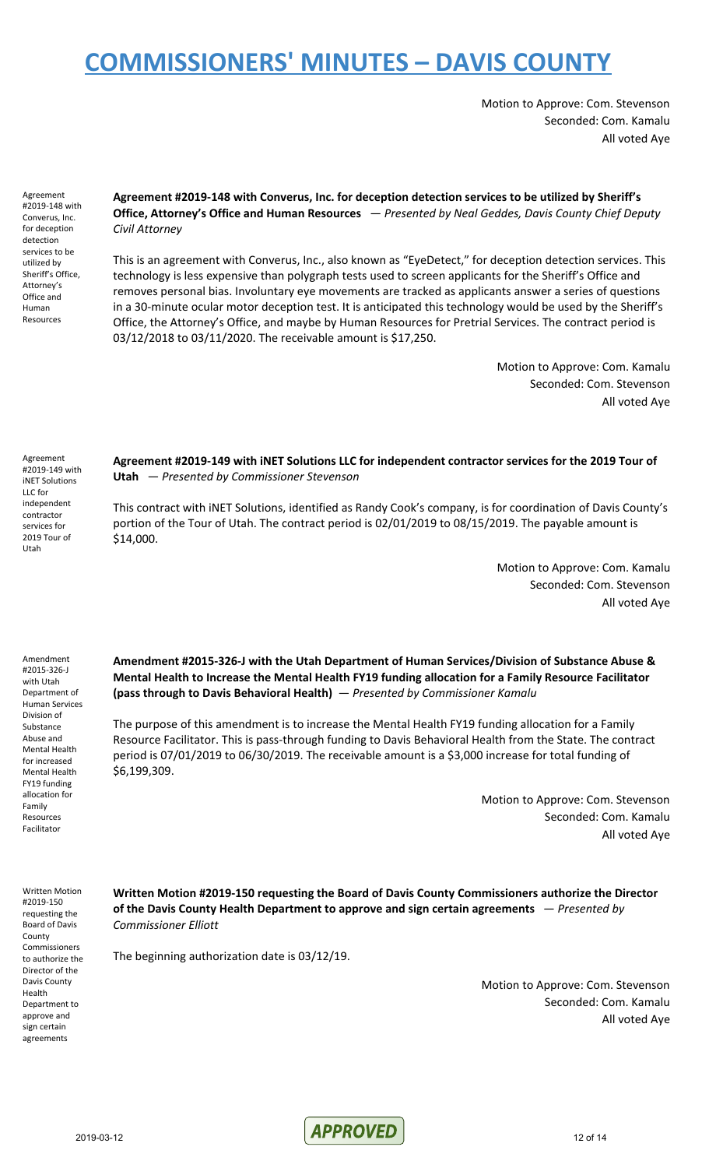Motion to Approve: Com. Stevenson Seconded: Com. Kamalu All voted Aye

Agreement #2019-148 with Converus, Inc. for deception detection services to be utilized by Sheriff's Office, Attorney's Office and Human Resources

**Agreement #2019-148 with Converus, Inc. for deception detection services to be utilized by Sheriff's Office, Attorney's Office and Human Resources** — *Presented by Neal Geddes, Davis County Chief Deputy Civil Attorney*

This is an agreement with Converus, Inc., also known as "EyeDetect," for deception detection services. This technology is less expensive than polygraph tests used to screen applicants for the Sheriff's Office and removes personal bias. Involuntary eye movements are tracked as applicants answer a series of questions in a 30-minute ocular motor deception test. It is anticipated this technology would be used by the Sheriff's Office, the Attorney's Office, and maybe by Human Resources for Pretrial Services. The contract period is 03/12/2018 to 03/11/2020. The receivable amount is \$17,250.

> Motion to Approve: Com. Kamalu Seconded: Com. Stevenson All voted Aye

Agreement #2019-149 with iNET Solutions LLC for independent contractor services for 2019 Tour of Utah

**Agreement #2019-149 with iNET Solutions LLC for independent contractor services for the 2019 Tour of Utah** — *Presented by Commissioner Stevenson*

This contract with iNET Solutions, identified as Randy Cook's company, is for coordination of Davis County's portion of the Tour of Utah. The contract period is 02/01/2019 to 08/15/2019. The payable amount is \$14,000.

> Motion to Approve: Com. Kamalu Seconded: Com. Stevenson All voted Aye

Amendment #2015-326-J with Utah Department of Human Services Division of Substance Abuse and Mental Health for increased Mental Health FY19 funding allocation for Family Resources Facilitator

**Amendment #2015-326-J with the Utah Department of Human Services/Division of Substance Abuse & Mental Health to Increase the Mental Health FY19 funding allocation for a Family Resource Facilitator (pass through to Davis Behavioral Health)** — *Presented by Commissioner Kamalu*

The purpose of this amendment is to increase the Mental Health FY19 funding allocation for a Family Resource Facilitator. This is pass-through funding to Davis Behavioral Health from the State. The contract period is 07/01/2019 to 06/30/2019. The receivable amount is a \$3,000 increase for total funding of \$6,199,309.

> Motion to Approve: Com. Stevenson Seconded: Com. Kamalu All voted Aye

Written Motion #2019-150 requesting the Board of Davis County Commissioners to authorize the Director of the Davis County Health Department to approve and sign certain agreements

**Written Motion #2019-150 requesting the Board of Davis County Commissioners authorize the Director of the Davis County Health Department to approve and sign certain agreements** — *Presented by Commissioner Elliott*

The beginning authorization date is 03/12/19.

Motion to Approve: Com. Stevenson Seconded: Com. Kamalu All voted Aye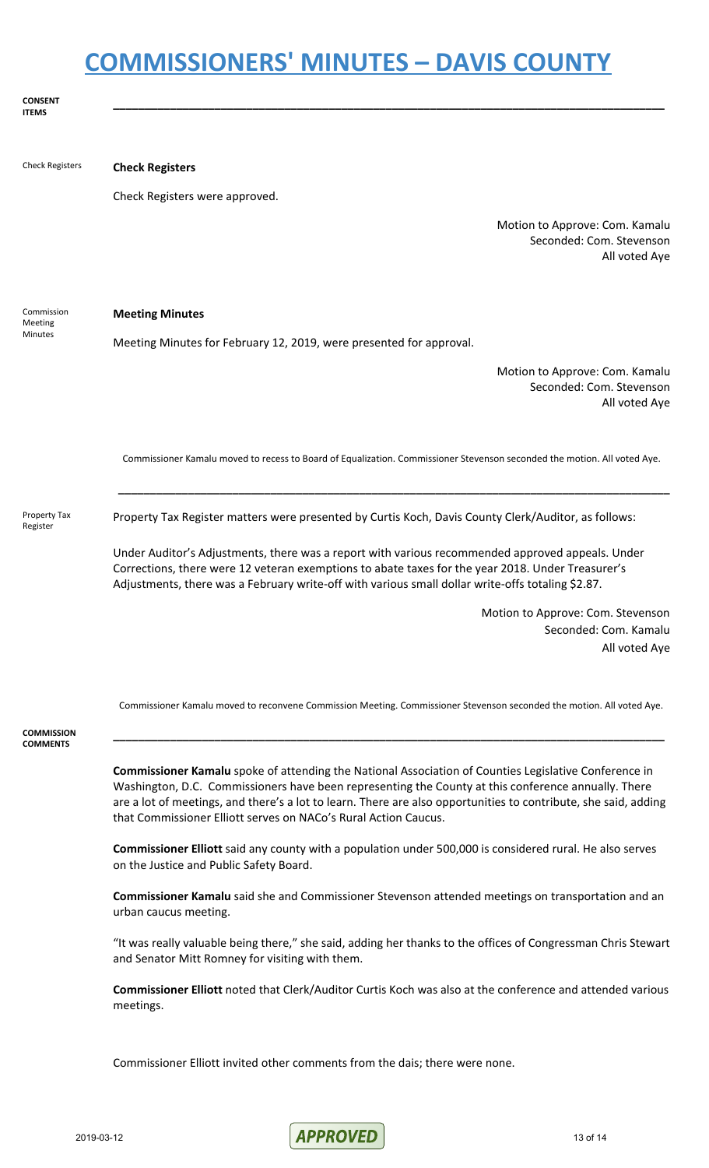**CONSENT ITEMS \_\_\_\_\_\_\_\_\_\_\_\_\_\_\_\_\_\_\_\_\_\_\_\_\_\_\_\_\_\_\_\_\_\_\_\_\_\_\_\_\_\_\_\_\_\_\_\_\_\_\_\_\_\_\_\_\_\_\_\_\_\_\_\_\_\_\_\_\_\_\_\_\_\_\_\_\_\_\_\_\_\_\_\_\_\_\_** Check Registers **Check Registers** Check Registers were approved. Motion to Approve: Com. Kamalu Seconded: Com. Stevenson All voted Aye Commission Meeting Minutes **Meeting Minutes** Meeting Minutes for February 12, 2019, were presented for approval. Motion to Approve: Com. Kamalu Seconded: Com. Stevenson All voted Aye Commissioner Kamalu moved to recess to Board of Equalization. Commissioner Stevenson seconded the motion. All voted Aye. **\_\_\_\_\_\_\_\_\_\_\_\_\_\_\_\_\_\_\_\_\_\_\_\_\_\_\_\_\_\_\_\_\_\_\_\_\_\_\_\_\_\_\_\_\_\_\_\_\_\_\_\_\_\_\_\_\_\_\_\_\_\_\_\_\_\_\_\_\_\_\_\_\_\_\_\_\_\_\_\_\_\_\_\_\_\_\_** Property Tax Register Property Tax Register matters were presented by Curtis Koch, Davis County Clerk/Auditor, as follows: Under Auditor's Adjustments, there was a report with various recommended approved appeals. Under Corrections, there were 12 veteran exemptions to abate taxes for the year 2018. Under Treasurer's Adjustments, there was a February write-off with various small dollar write-offs totaling \$2.87. Motion to Approve: Com. Stevenson Seconded: Com. Kamalu All voted Aye Commissioner Kamalu moved to reconvene Commission Meeting. Commissioner Stevenson seconded the motion. All voted Aye. **COMMISSION COMMENTS \_\_\_\_\_\_\_\_\_\_\_\_\_\_\_\_\_\_\_\_\_\_\_\_\_\_\_\_\_\_\_\_\_\_\_\_\_\_\_\_\_\_\_\_\_\_\_\_\_\_\_\_\_\_\_\_\_\_\_\_\_\_\_\_\_\_\_\_\_\_\_\_\_\_\_\_\_\_\_\_\_\_\_\_\_\_\_ Commissioner Kamalu** spoke of attending the National Association of Counties Legislative Conference in Washington, D.C. Commissioners have been representing the County at this conference annually. There are a lot of meetings, and there's a lot to learn. There are also opportunities to contribute, she said, adding that Commissioner Elliott serves on NACo's Rural Action Caucus. **Commissioner Elliott** said any county with a population under 500,000 is considered rural. He also serves on the Justice and Public Safety Board. **Commissioner Kamalu** said she and Commissioner Stevenson attended meetings on transportation and an urban caucus meeting. "It was really valuable being there," she said, adding her thanks to the offices of Congressman Chris Stewart and Senator Mitt Romney for visiting with them. **Commissioner Elliott** noted that Clerk/Auditor Curtis Koch was also at the conference and attended various meetings. Commissioner Elliott invited other comments from the dais; there were none.